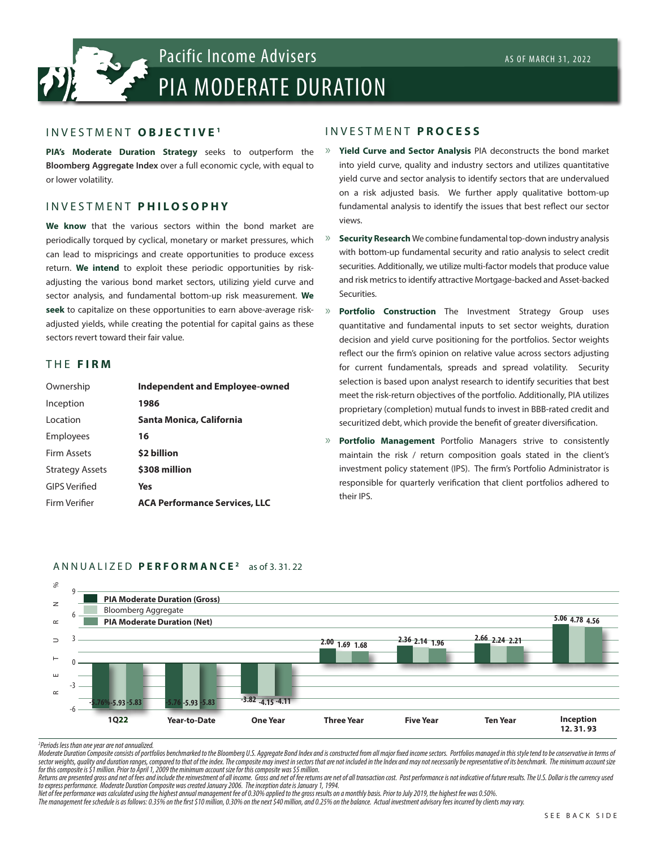# PIA MODERATE DURATION Pacific Income Advisers As OF MARCH 31, 2022

#### INVESTMENT **OBJECTIVE <sup>1</sup>**

**PIA's Moderate Duration Strategy** seeks to outperform the **Bloomberg Aggregate Index** over a full economic cycle, with equal to or lower volatility.

#### INVESTMENT **P H I L O S O P H Y**

**We know** that the various sectors within the bond market are periodically torqued by cyclical, monetary or market pressures, which can lead to mispricings and create opportunities to produce excess return. **We intend** to exploit these periodic opportunities by riskadjusting the various bond market sectors, utilizing yield curve and sector analysis, and fundamental bottom-up risk measurement. **We seek** to capitalize on these opportunities to earn above-average riskadjusted yields, while creating the potential for capital gains as these sectors revert toward their fair value.

#### THE **FIRM**

| Ownership              | <b>Independent and Employee-owned</b> |
|------------------------|---------------------------------------|
| Inception              | 1986                                  |
| Location               | Santa Monica, California              |
| Employees              | 16                                    |
| Firm Assets            | \$2 billion                           |
| <b>Strategy Assets</b> | \$308 million                         |
| <b>GIPS Verified</b>   | Yes                                   |
| Firm Verifier          | <b>ACA Performance Services, LLC</b>  |

#### INVESTMENT **PROCESS**

- » **Yield Curve and Sector Analysis** PIA deconstructs the bond market into yield curve, quality and industry sectors and utilizes quantitative yield curve and sector analysis to identify sectors that are undervalued on a risk adjusted basis. We further apply qualitative bottom-up fundamental analysis to identify the issues that best reflect our sector views.
- » **Security Research** We combine fundamental top-down industry analysis with bottom-up fundamental security and ratio analysis to select credit securities. Additionally, we utilize multi-factor models that produce value and risk metrics to identify attractive Mortgage-backed and Asset-backed Securities.
- » **Portfolio Construction** The Investment Strategy Group uses quantitative and fundamental inputs to set sector weights, duration decision and yield curve positioning for the portfolios. Sector weights reflect our the firm's opinion on relative value across sectors adjusting for current fundamentals, spreads and spread volatility. Security selection is based upon analyst research to identify securities that best meet the risk-return objectives of the portfolio. Additionally, PIA utilizes proprietary (completion) mutual funds to invest in BBB-rated credit and securitized debt, which provide the benefit of greater diversification.
- » **Portfolio Management** Portfolio Managers strive to consistently maintain the risk / return composition goals stated in the client's investment policy statement (IPS). The firm's Portfolio Administrator is responsible for quarterly verification that client portfolios adhered to their IPS.



#### ANNUALIZED **PERFORMANCE 2** as of 3. 31. 22

Moderate Duration Composite consists of portfolios benchmarked to the Bloomberg U.S. Aggregate Bond Index and is constructed from all major fixed income sectors. Portfolios managed in this style tend to be conservative in sector weights, quality and duration ranges, compared to that of the index. The composite may invest in sectors that are not included in the Index and may not necessarily be representative of its benchmark. The minimum acc *for this composite is \$1 million. Prior to April 1, 2009 the minimum account size for this composite was \$5 million.* 

Returns are presented gross and net of fees and include the reinvestment of all income. Gross and net of fee returns are net of all transaction cost. Past performance is not indicative of future results. The U.S. Dollar is *to express performance. Moderate Duration Composite was created January 2006. The inception date is January 1, 1994.*

*Net of fee performance was calculated using the highest annual management fee of 0.30% applied to the gross results on a monthly basis. Prior to July 2019, the highest fee was 0.50%. The management fee schedule is as follows: 0.35% on the first \$10 million, 0.30% on the next \$40 million, and 0.25% on the balance. Actual investment advisory fees incurred by clients may vary.* 

*<sup>2</sup> Periods less than one year are not annualized.*